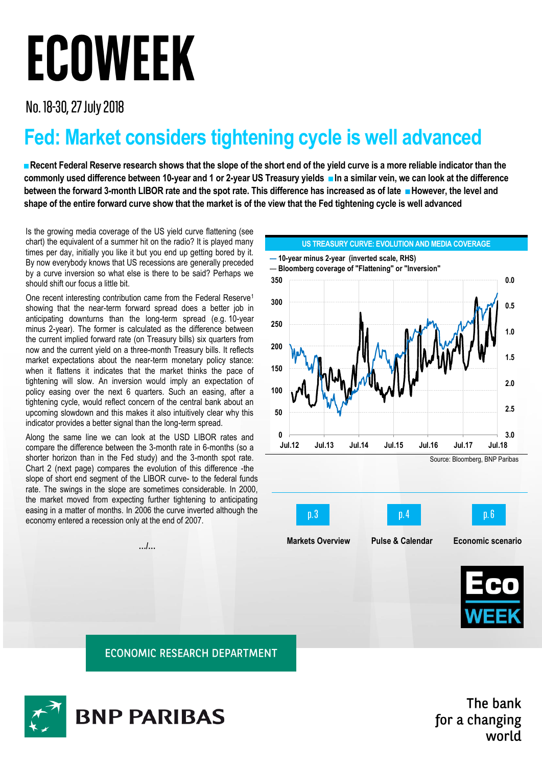## **ECOWEEK**

No. 18-30, 27 July 2018

## **Fed: Market considers tightening cycle is well advanced**

**■Recent Federal Reserve research shows that the slope of the short end of the yield curve is a more reliable indicator than the commonly used difference between 10-year and 1 or 2-year US Treasury yields ■In a similar vein, we can look at the difference between the forward 3-month LIBOR rate and the spot rate. This difference has increased as of late ■However, the level and shape of the entire forward curve show that the market is of the view that the Fed tightening cycle is well advanced**

Is the growing media coverage of the US yield curve flattening (see chart) the equivalent of a summer hit on the radio? It is played many times per day, initially you like it but you end up getting bored by it. By now everybody knows that US recessions are generally preceded by a curve inversion so what else is there to be said? Perhaps we should shift our focus a little bit.

One recent interesting contribution came from the Federal Reserve<sup>1</sup> showing that the near-term forward spread does a better job in anticipating downturns than the long-term spread (e.g. 10-year minus 2-year). The former is calculated as the difference between the current implied forward rate (on Treasury bills) six quarters from now and the current yield on a three-month Treasury bills. It reflects market expectations about the near-term monetary policy stance: when it flattens it indicates that the market thinks the pace of tightening will slow. An inversion would imply an expectation of policy easing over the next 6 quarters. Such an easing, after a tightening cycle, would reflect concern of the central bank about an upcoming slowdown and this makes it also intuitively clear why this indicator provides a better signal than the long-term spread.

Along the same line we can look at the USD LIBOR rates and compare the difference between the 3-month rate in 6-months (so a shorter horizon than in the Fed study) and the 3-month spot rate. Chart 2 (next page) compares the evolution of this difference -the slope of short end segment of the LIBOR curve- to the federal funds rate. The swings in the slope are sometimes considerable. In 2000, the market moved from expecting further tightening to anticipating easing in a matter of months. In 2006 the curve inverted although the economy entered a recession only at the end of 2007.

**…/…**



**ECONOMIC RESEARCH DEPARTMENT** 



The bank for a changing world